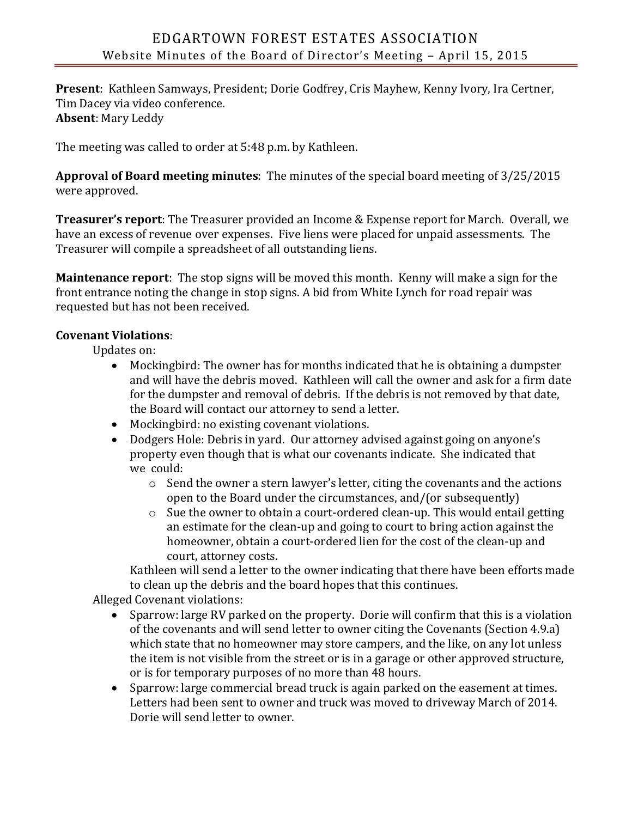**Present**: Kathleen Samways, President; Dorie Godfrey, Cris Mayhew, Kenny Ivory, Ira Certner, Tim Dacey via video conference. **Absent**: Mary Leddy

The meeting was called to order at 5:48 p.m. by Kathleen.

**Approval of Board meeting minutes**: The minutes of the special board meeting of 3/25/2015 were approved.

**Treasurer's report**: The Treasurer provided an Income & Expense report for March. Overall, we have an excess of revenue over expenses. Five liens were placed for unpaid assessments. The Treasurer will compile a spreadsheet of all outstanding liens.

**Maintenance report**: The stop signs will be moved this month. Kenny will make a sign for the front entrance noting the change in stop signs. A bid from White Lynch for road repair was requested but has not been received.

## **Covenant Violations**:

Updates on:

- Mockingbird: The owner has for months indicated that he is obtaining a dumpster and will have the debris moved. Kathleen will call the owner and ask for a firm date for the dumpster and removal of debris. If the debris is not removed by that date, the Board will contact our attorney to send a letter.
- Mockingbird: no existing covenant violations.
- Dodgers Hole: Debris in yard. Our attorney advised against going on anyone's property even though that is what our covenants indicate. She indicated that we could:
	- o Send the owner a stern lawyer's letter, citing the covenants and the actions open to the Board under the circumstances, and/(or subsequently)
	- $\circ$  Sue the owner to obtain a court-ordered clean-up. This would entail getting an estimate for the clean-up and going to court to bring action against the homeowner, obtain a court-ordered lien for the cost of the clean-up and court, attorney costs.

Kathleen will send a letter to the owner indicating that there have been efforts made to clean up the debris and the board hopes that this continues.

Alleged Covenant violations:

- Sparrow: large RV parked on the property. Dorie will confirm that this is a violation of the covenants and will send letter to owner citing the Covenants (Section 4.9.a) which state that no homeowner may store campers, and the like, on any lot unless the item is not visible from the street or is in a garage or other approved structure, or is for temporary purposes of no more than 48 hours.
- Sparrow: large commercial bread truck is again parked on the easement at times. Letters had been sent to owner and truck was moved to driveway March of 2014. Dorie will send letter to owner.